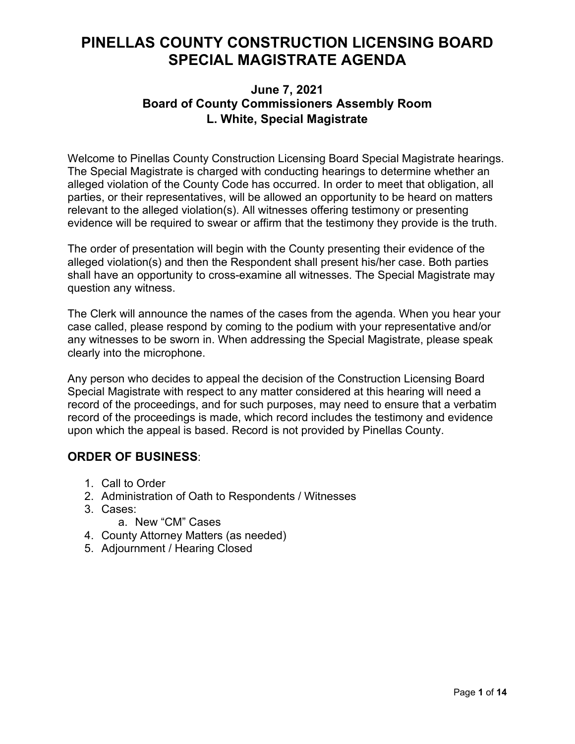# **PINELLAS COUNTY CONSTRUCTION LICENSING BOARD SPECIAL MAGISTRATE AGENDA**

# **June 7, 2021 Board of County Commissioners Assembly Room L. White, Special Magistrate**

Welcome to Pinellas County Construction Licensing Board Special Magistrate hearings. The Special Magistrate is charged with conducting hearings to determine whether an alleged violation of the County Code has occurred. In order to meet that obligation, all parties, or their representatives, will be allowed an opportunity to be heard on matters relevant to the alleged violation(s). All witnesses offering testimony or presenting evidence will be required to swear or affirm that the testimony they provide is the truth.

The order of presentation will begin with the County presenting their evidence of the alleged violation(s) and then the Respondent shall present his/her case. Both parties shall have an opportunity to cross-examine all witnesses. The Special Magistrate may question any witness.

The Clerk will announce the names of the cases from the agenda. When you hear your case called, please respond by coming to the podium with your representative and/or any witnesses to be sworn in. When addressing the Special Magistrate, please speak clearly into the microphone.

Any person who decides to appeal the decision of the Construction Licensing Board Special Magistrate with respect to any matter considered at this hearing will need a record of the proceedings, and for such purposes, may need to ensure that a verbatim record of the proceedings is made, which record includes the testimony and evidence upon which the appeal is based. Record is not provided by Pinellas County.

# **ORDER OF BUSINESS**:

- 1. Call to Order
- 2. Administration of Oath to Respondents / Witnesses
- 3. Cases:
	- a. New "CM" Cases
- 4. County Attorney Matters (as needed)
- 5. Adjournment / Hearing Closed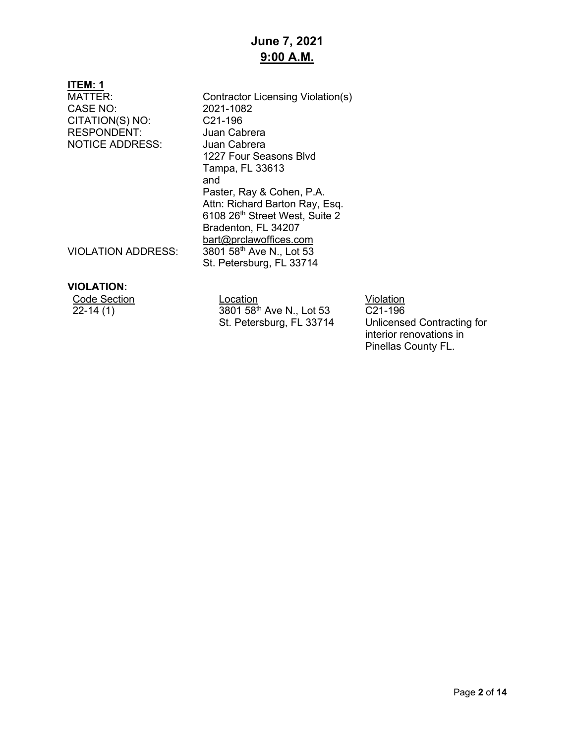# **June 7, 2021 9:00 A.M.**

## **ITEM: 1**

CASE NO: 2021-108<br>CITATION(S) NO: C21-196 CITATION(S) NO: RESPONDENT: Juan Cabrera NOTICE ADDRESS: Juan Cabrera

MATTER: Contractor Licensing Violation(s)<br>CASE NO: 2021-1082 1227 Four Seasons Blvd Tampa, FL 33613 and Paster, Ray & Cohen, P.A. Attn: Richard Barton Ray, Esq. 6108 26<sup>th</sup> Street West, Suite 2 Bradenton, FL 34207 [bart@prclawoffices.com](mailto:bart@prclawoffices.com) VIOLATION ADDRESS: 3801 58<sup>th</sup> Ave N., Lot 53 St. Petersburg, FL 33714

## **VIOLATION:**

| <b>Code Section</b> |
|---------------------|
| $22 - 14(1)$        |

Location **Contract Contract Contract Contract Contract Contract Contract Contract Contract Contract Contract Co** 3801 58<sup>th</sup> Ave N., Lot 53 St. Petersburg, FL 33714

C21-196 Unlicensed Contracting for interior renovations in Pinellas County FL.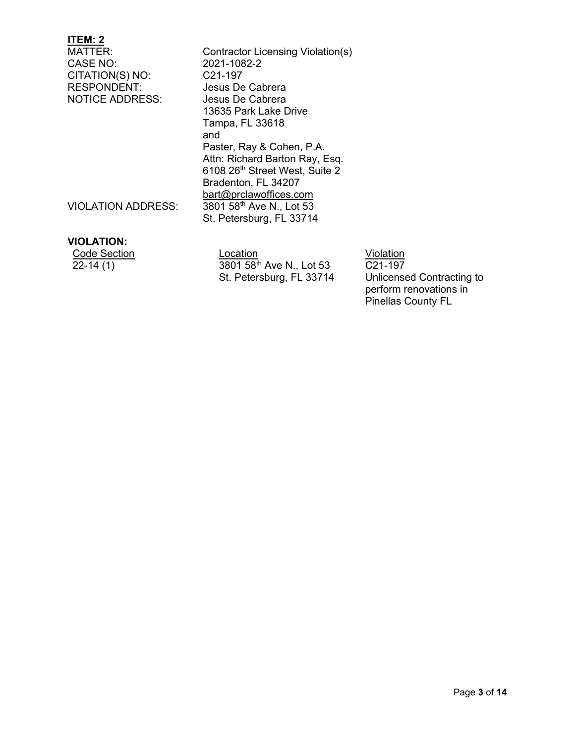MATTER: Contractor Licensing Violation(s)<br>CASE NO: 2021-1082-2 2021-1082-2<br>C21-197 CITATION(S) NO: RESPONDENT: Jesus De Cabrera NOTICE ADDRESS: Jesus De Cabrera 13635 Park Lake Drive Tampa, FL 33618 and Paster, Ray & Cohen, P.A. Attn: Richard Barton Ray, Esq. 6108 26th Street West, Suite 2 Bradenton, FL 34207 [bart@prclawoffices.com](mailto:bart@prclawoffices.com) VIOLATION ADDRESS: 3801 58<sup>th</sup> Ave N., Lot 53 St. Petersburg, FL 33714

## **VIOLATION:**

**Code Section Code Section** Location **Code Section**  $\overline{22-14(1)}$  3801 58<sup>th</sup> Ave N., Lot 53 St. Petersburg, FL 33714

C21-197

Unlicensed Contracting to perform renovations in Pinellas County FL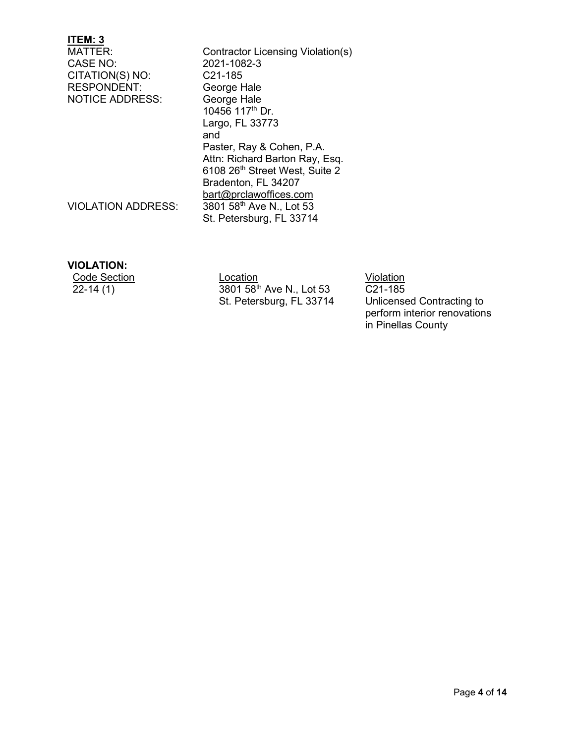MATTER: Contractor Licensing Violation(s)<br>CASE NO: 2021-1082-3 2021-1082-3<br>C21-185 CITATION(S) NO: RESPONDENT: George Hale<br>NOTICE ADDRESS: George Hale **NOTICE ADDRESS:** 10456 117th Dr. Largo, FL 33773 and Paster, Ray & Cohen, P.A. Attn: Richard Barton Ray, Esq. 6108 26th Street West, Suite 2 Bradenton, FL 34207 [bart@prclawoffices.com](mailto:bart@prclawoffices.com) VIOLATION ADDRESS:  $\frac{3801}{58}$  Ave N., Lot 53 St. Petersburg, FL 33714

#### **VIOLATION:**

Code Section Location Location<br>22-14 (1) 3801 58<sup>th</sup> Ave N., Lot 53 C21-185 3801 58<sup>th</sup> Ave N., Lot 53 St. Petersburg, FL 33714

C21-185 Unlicensed Contracting to perform interior renovations in Pinellas County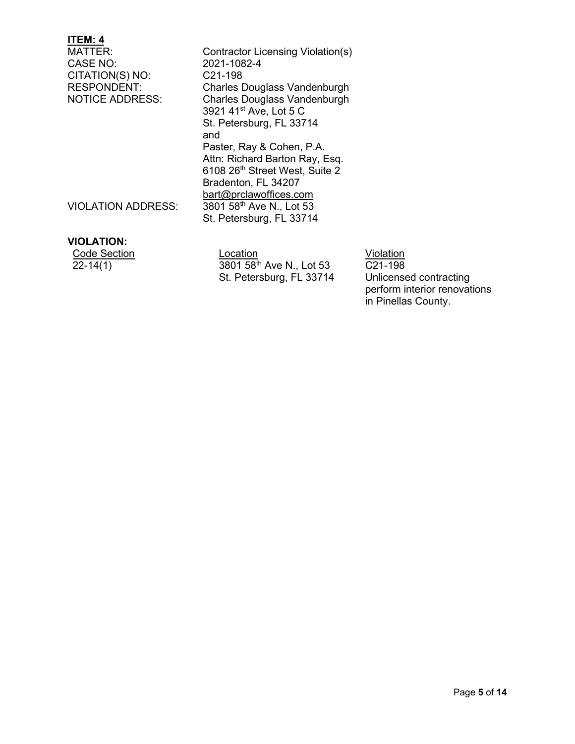MATTER: Contractor Licensing Violation(s)<br>CASE NO: 2021-1082-4 2021-1082-4<br>C21-198 CITATION(S) NO: RESPONDENT: Charles Douglass Vandenburgh<br>
NOTICE ADDRESS: Charles Douglass Vandenburgh Charles Douglass Vandenburgh 3921 41st Ave, Lot 5 C St. Petersburg, FL 33714 and Paster, Ray & Cohen, P.A. Attn: Richard Barton Ray, Esq. 6108 26th Street West, Suite 2 Bradenton, FL 34207 [bart@prclawoffices.com](mailto:bart@prclawoffices.com) VIOLATION ADDRESS: 3801 58<sup>th</sup> Ave N., Lot 53 St. Petersburg, FL 33714

#### **VIOLATION:**

| Code Section |
|--------------|
| $22 - 14(1)$ |

Location **Contact Section** Violation  $3801 58$ <sup>th</sup> Ave N., Lot 53 St. Petersburg, FL 33714

 $\overline{C21-198}$ Unlicensed contracting perform interior renovations in Pinellas County.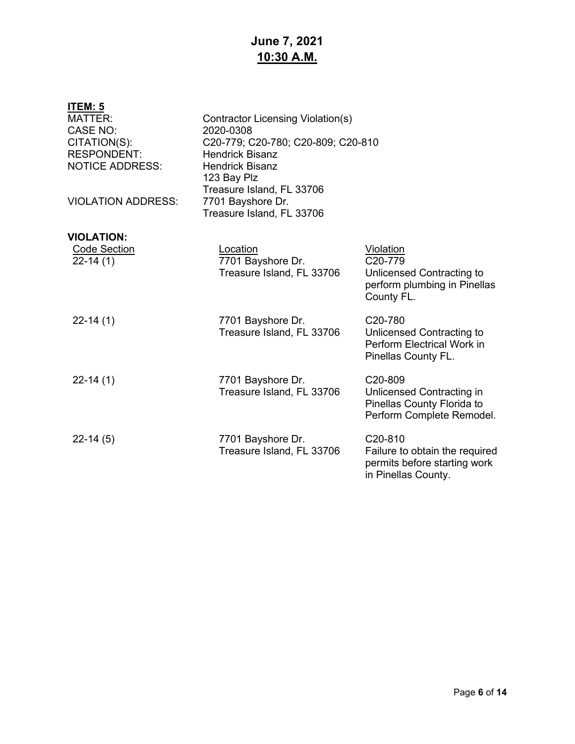# **June 7, 2021 10:30 A.M.**

| <b>ITEM: 5</b><br><b>MATTER:</b><br><b>CASE NO:</b><br>CITATION(S):<br><b>RESPONDENT:</b><br><b>NOTICE ADDRESS:</b><br><b>VIOLATION ADDRESS:</b> | Contractor Licensing Violation(s)<br>2020-0308<br>C20-779; C20-780; C20-809; C20-810<br><b>Hendrick Bisanz</b><br><b>Hendrick Bisanz</b><br>123 Bay Plz<br>Treasure Island, FL 33706<br>7701 Bayshore Dr.<br>Treasure Island, FL 33706 |                                                                                                               |
|--------------------------------------------------------------------------------------------------------------------------------------------------|----------------------------------------------------------------------------------------------------------------------------------------------------------------------------------------------------------------------------------------|---------------------------------------------------------------------------------------------------------------|
| <b>VIOLATION:</b>                                                                                                                                |                                                                                                                                                                                                                                        |                                                                                                               |
| <b>Code Section</b><br>$22-14(1)$                                                                                                                | Location<br>7701 Bayshore Dr.<br>Treasure Island, FL 33706                                                                                                                                                                             | Violation<br>C20-779<br>Unlicensed Contracting to<br>perform plumbing in Pinellas<br>County FL.               |
| $22-14(1)$                                                                                                                                       | 7701 Bayshore Dr.<br>Treasure Island, FL 33706                                                                                                                                                                                         | C <sub>20</sub> -780<br>Unlicensed Contracting to<br>Perform Electrical Work in<br>Pinellas County FL.        |
| $22-14(1)$                                                                                                                                       | 7701 Bayshore Dr.<br>Treasure Island, FL 33706                                                                                                                                                                                         | C20-809<br>Unlicensed Contracting in<br>Pinellas County Florida to<br>Perform Complete Remodel.               |
| $22-14(5)$                                                                                                                                       | 7701 Bayshore Dr.<br>Treasure Island, FL 33706                                                                                                                                                                                         | C <sub>20</sub> -810<br>Failure to obtain the required<br>permits before starting work<br>in Pinellas County. |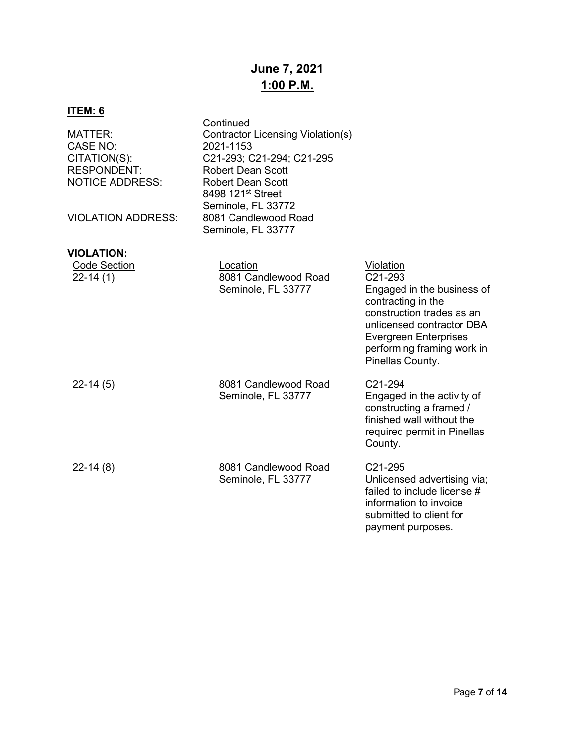# **June 7, 2021 1:00 P.M.**

| <u>ITEM: 6</u>                                                                                                   |                                                                                                                                                                                                                                                       |                                                                                                                                                                                                                      |
|------------------------------------------------------------------------------------------------------------------|-------------------------------------------------------------------------------------------------------------------------------------------------------------------------------------------------------------------------------------------------------|----------------------------------------------------------------------------------------------------------------------------------------------------------------------------------------------------------------------|
| MATTER:<br>CASE NO:<br>CITATION(S):<br><b>RESPONDENT:</b><br><b>NOTICE ADDRESS:</b><br><b>VIOLATION ADDRESS:</b> | Continued<br>Contractor Licensing Violation(s)<br>2021-1153<br>C21-293; C21-294; C21-295<br><b>Robert Dean Scott</b><br><b>Robert Dean Scott</b><br>8498 121 <sup>st</sup> Street<br>Seminole, FL 33772<br>8081 Candlewood Road<br>Seminole, FL 33777 |                                                                                                                                                                                                                      |
| <b>VIOLATION:</b>                                                                                                |                                                                                                                                                                                                                                                       |                                                                                                                                                                                                                      |
| <b>Code Section</b><br>$22-14(1)$                                                                                | Location<br>8081 Candlewood Road<br>Seminole, FL 33777                                                                                                                                                                                                | Violation<br>C21-293<br>Engaged in the business of<br>contracting in the<br>construction trades as an<br>unlicensed contractor DBA<br><b>Evergreen Enterprises</b><br>performing framing work in<br>Pinellas County. |
| $22-14(5)$                                                                                                       | 8081 Candlewood Road<br>Seminole, FL 33777                                                                                                                                                                                                            | C21-294<br>Engaged in the activity of<br>constructing a framed /<br>finished wall without the<br>required permit in Pinellas<br>County.                                                                              |
| $22-14(8)$                                                                                                       | 8081 Candlewood Road<br>Seminole, FL 33777                                                                                                                                                                                                            | C21-295<br>Unlicensed advertising via;<br>failed to include license #<br>information to invoice<br>submitted to client for<br>payment purposes.                                                                      |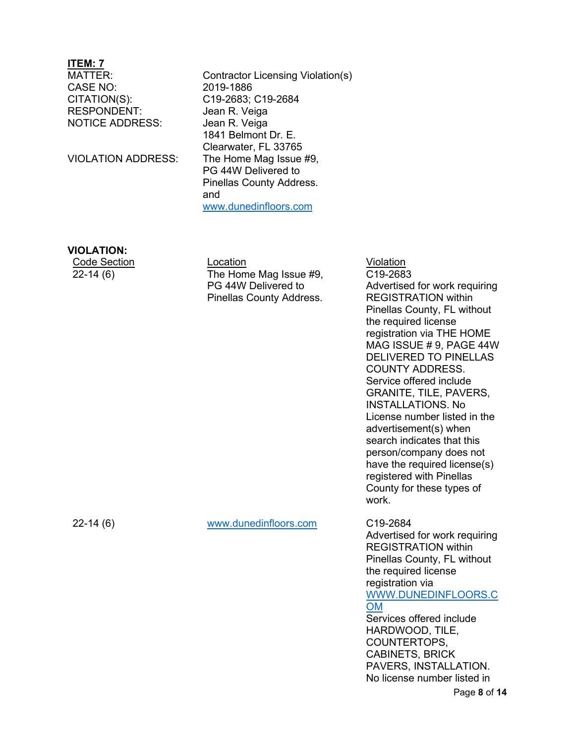CASE NO: 2019-1886 CITATION(S): C19-2683; C19-2684 RESPONDENT: Jean R. Veiga NOTICE ADDRESS: Jean R. Veiga

Contractor Licensing Violation(s) 1841 Belmont Dr. E. Clearwater, FL 33765 VIOLATION ADDRESS: The Home Mag Issue #9, PG 44W Delivered to Pinellas County Address. and [www.dunedinfloors.com](http://www.dunedinfloors.com/)

## **VIOLATION:**

22-14 (6)

**Code Section Code Section Code Section** The Home Mag Issue #9, PG 44W Delivered to Pinellas County Address.

C19-2684

C19-2683 Advertised for work requiring REGISTRATION within Pinellas County, FL without the required license registration via THE HOME MAG ISSUE # 9, PAGE 44W DELIVERED TO PINELLAS COUNTY ADDRESS. Service offered include GRANITE, TILE, PAVERS, INSTALLATIONS. No License number listed in the advertisement(s) when search indicates that this person/company does not have the required license(s) registered with Pinellas County for these types of work.

22-14 (6)

[www.dunedinfloors.com](http://www.dunedinfloors.com/)

Advertised for work requiring REGISTRATION within Pinellas County, FL without the required license registration via [WWW.DUNEDINFLOORS.C](http://www.dunedinfloors.com/) [OM](http://www.dunedinfloors.com/) Services offered include HARDWOOD, TILE, COUNTERTOPS, CABINETS, BRICK PAVERS, INSTALLATION. No license number listed in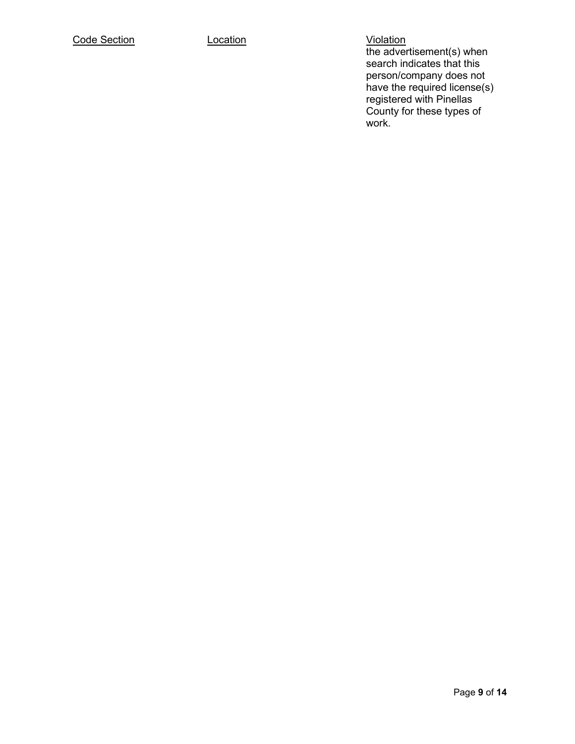the advertisement(s) when search indicates that this person/company does not have the required license(s) registered with Pinellas County for these types of work.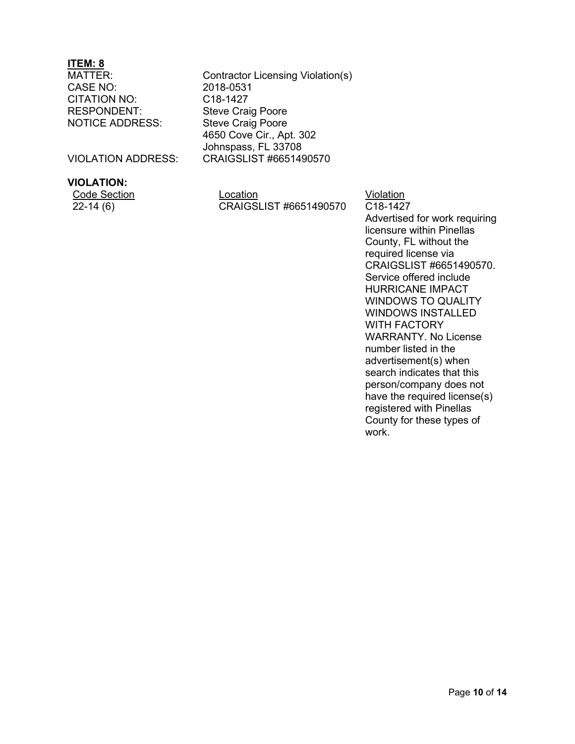CASE NO: 2018-0531<br>CITATION NO: C18-1427 CITATION NO: RESPONDENT: Steve Craig Poore NOTICE ADDRESS: Steve Craig Poore

Contractor Licensing Violation(s) 4650 Cove Cir., Apt. 302 Johnspass, FL 33708 VIOLATION ADDRESS: CRAIGSLIST #6651490570

## **VIOLATION:**

Code Section **Location Location Location Violation** 22-14 (6) CRAIGSLIST #6651490570 C18-1427

Advertised for work requiring licensure within Pinellas County, FL without the required license via CRAIGSLIST #6651490570. Service offered include HURRICANE IMPACT WINDOWS TO QUALITY WINDOWS INSTALLED WITH FACTORY WARRANTY. No License number listed in the advertisement(s) when search indicates that this person/company does not have the required license(s) registered with Pinellas County for these types of work.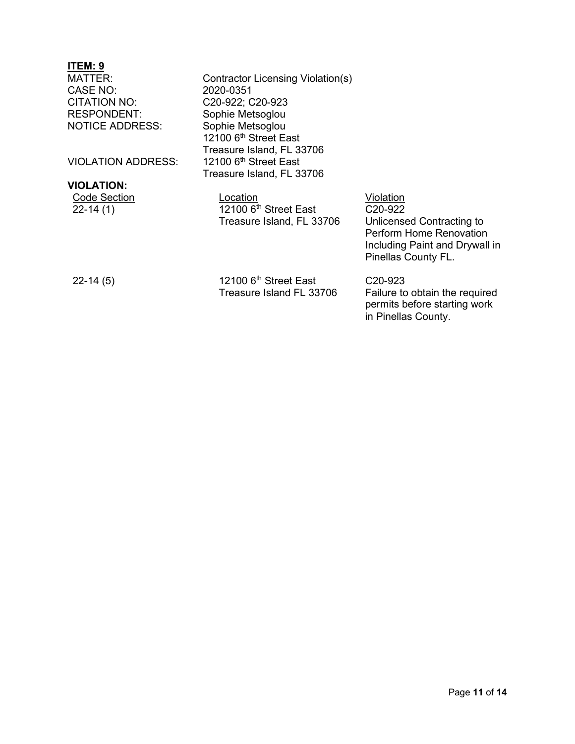CASE NO: CITATION NO: C20-922; C20-923<br>RESPONDENT: Sophie Metsoalou **NOTICE ADDRESS:** 

VIOLATION ADDRESS:

## **VIOLATION:**

|            | <b>Code Section</b> |
|------------|---------------------|
| $22-14(1)$ |                     |

MATTER: Contractor Licensing Violation(s)<br>CASE NO: 2020-0351 Sophie Metsoglou<br>Sophie Metsoglou 12100 6<sup>th</sup> Street East Treasure Island, FL 33706<br>12100 6<sup>th</sup> Street East Treasure Island, FL 33706

> Location **Contact Section** Violation  $12100$   $6<sup>th</sup>$  Street East Treasure Island, FL 33706

C20-922

Unlicensed Contracting to Perform Home Renovation Including Paint and Drywall in Pinellas County FL.

22-14 (5)

12100 6<sup>th</sup> Street East Treasure Island FL 33706

C20-923 Failure to obtain the required permits before starting work in Pinellas County.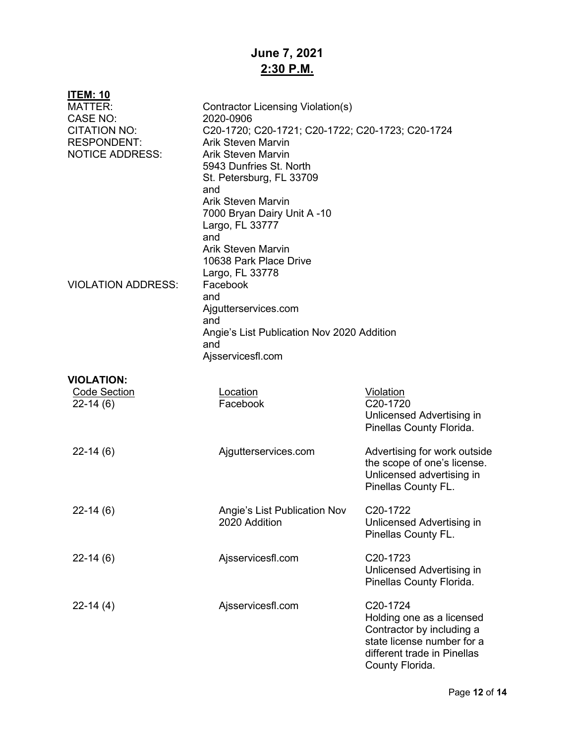# **June 7, 2021 2:30 P.M.**

| <u>ITEM: 10</u>           |                                                  |                              |  |  |
|---------------------------|--------------------------------------------------|------------------------------|--|--|
| <b>MATTER:</b>            | Contractor Licensing Violation(s)                |                              |  |  |
| <b>CASE NO:</b>           | 2020-0906                                        |                              |  |  |
| <b>CITATION NO:</b>       | C20-1720; C20-1721; C20-1722; C20-1723; C20-1724 |                              |  |  |
| <b>RESPONDENT:</b>        | <b>Arik Steven Marvin</b>                        |                              |  |  |
| <b>NOTICE ADDRESS:</b>    | <b>Arik Steven Marvin</b>                        |                              |  |  |
|                           | 5943 Dunfries St. North                          |                              |  |  |
|                           | St. Petersburg, FL 33709                         |                              |  |  |
|                           | and                                              |                              |  |  |
|                           | <b>Arik Steven Marvin</b>                        |                              |  |  |
|                           | 7000 Bryan Dairy Unit A-10                       |                              |  |  |
|                           | Largo, FL 33777                                  |                              |  |  |
|                           | and                                              |                              |  |  |
|                           | <b>Arik Steven Marvin</b>                        |                              |  |  |
|                           | 10638 Park Place Drive                           |                              |  |  |
|                           | Largo, FL 33778                                  |                              |  |  |
| <b>VIOLATION ADDRESS:</b> | Facebook                                         |                              |  |  |
|                           | and                                              |                              |  |  |
|                           | Ajgutterservices.com                             |                              |  |  |
|                           | and                                              |                              |  |  |
|                           | Angie's List Publication Nov 2020 Addition       |                              |  |  |
|                           | and                                              |                              |  |  |
|                           | Ajsservicesfl.com                                |                              |  |  |
| <b>VIOLATION:</b>         |                                                  |                              |  |  |
| <b>Code Section</b>       | Location                                         | Violation                    |  |  |
| $22 - 14(6)$              | Facebook                                         | C20-1720                     |  |  |
|                           |                                                  | Unlicensed Advertising in    |  |  |
|                           |                                                  | Pinellas County Florida.     |  |  |
|                           |                                                  |                              |  |  |
| $22-14(6)$                | Ajgutterservices.com                             | Advertising for work outside |  |  |
|                           |                                                  | the scope of one's license.  |  |  |
|                           |                                                  | Unlicensed advertising in    |  |  |
|                           |                                                  | Pinellas County FL.          |  |  |
|                           |                                                  |                              |  |  |
| $22-14(6)$                | Angie's List Publication Nov                     | C20-1722                     |  |  |
|                           | 2020 Addition                                    | Unlicensed Advertising in    |  |  |
|                           |                                                  | Pinellas County FL.          |  |  |
| $22-14(6)$                | Ajsservicesfl.com                                | C20-1723                     |  |  |
|                           |                                                  | Unlicensed Advertising in    |  |  |
|                           |                                                  | Pinellas County Florida.     |  |  |
|                           |                                                  |                              |  |  |
| $22-14(4)$                | Ajsservicesfl.com                                | C20-1724                     |  |  |
|                           |                                                  | Holding one as a licensed    |  |  |
|                           |                                                  | Contractor by including a    |  |  |
|                           |                                                  | state license number for a   |  |  |
|                           |                                                  | different trade in Pinellas  |  |  |
|                           |                                                  | County Florida.              |  |  |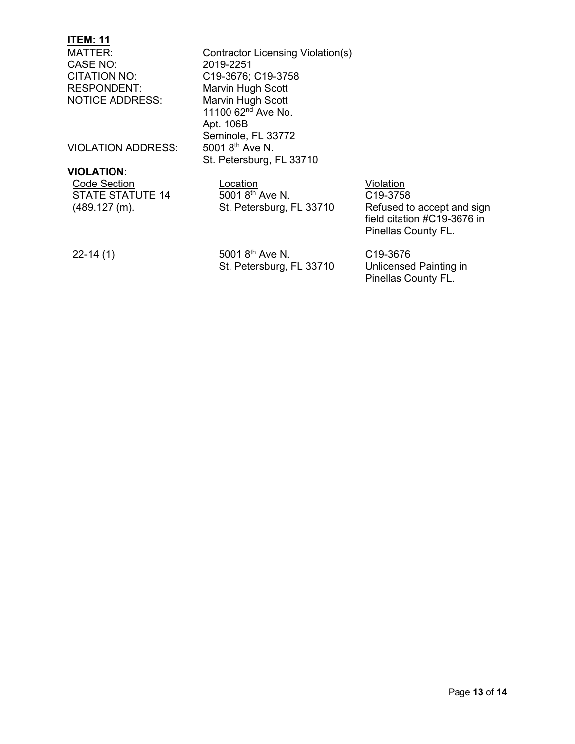CASE NO: 2019-2251 RESPONDENT: Marvin Hugh Scott<br>
NOTICE ADDRESS: Marvin Hugh Scott

VIOLATION ADDRESS:

#### **VIOLATION:**

STATE STATUTE 14 (489.127 (m).

MATTER: Contractor Licensing Violation(s) CITATION NO: C19-3676; C19-3758<br>RESPONDENT: Marvin Hugh Scott Marvin Hugh Scott 11100  $62^{nd}$  Ave No. Apt. 106B Seminole, FL 33772<br>5001 8<sup>th</sup> Ave N. St. Petersburg, FL 33710

Code Section **Code Section Code Section Code Section**  $50018^{th}$  Ave N. St. Petersburg, FL 33710

C19-3758 Refused to accept and sign field citation #C19-3676 in Pinellas County FL.

22-14 (1)

5001 8th Ave N. St. Petersburg, FL 33710

C19-3676 Unlicensed Painting in Pinellas County FL.